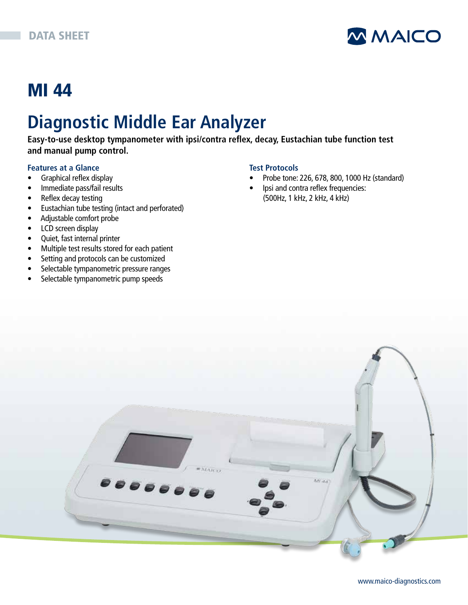

## MI 44

# **Diagnostic Middle Ear Analyzer**

**Easy-to-use desktop tympanometer with ipsi/contra reflex, decay, Eustachian tube function test and manual pump control.**

#### **Features at a Glance**

- Graphical reflex display
- Immediate pass/fail results
- Reflex decay testing
- Eustachian tube testing (intact and perforated)
- Adjustable comfort probe
- LCD screen display
- Quiet, fast internal printer
- Multiple test results stored for each patient
- Setting and protocols can be customized
- Selectable tympanometric pressure ranges
- Selectable tympanometric pump speeds

#### **Test Protocols**

- Probe tone: 226, 678, 800, 1000 Hz (standard)
- Ipsi and contra reflex frequencies: (500Hz, 1 kHz, 2 kHz, 4 kHz)